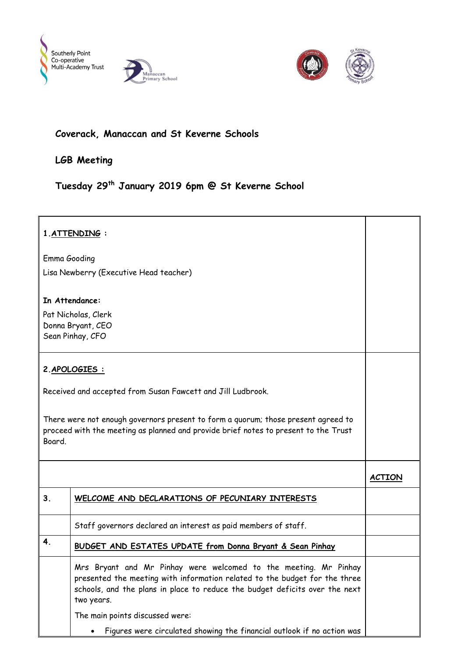





## **Coverack, Manaccan and St Keverne Schools**

**LGB Meeting**

## **Tuesday 29th January 2019 6pm @ St Keverne School**

## **1.ATTENDING :** Emma Gooding Lisa Newberry (Executive Head teacher) **In Attendance:** Pat Nicholas, Clerk Donna Bryant, CEO Sean Pinhay, CFO **2.APOLOGIES :** Received and accepted from Susan Fawcett and Jill Ludbrook. There were not enough governors present to form a quorum; those present agreed to proceed with the meeting as planned and provide brief notes to present to the Trust Board. **ACTION 3. WELCOME AND DECLARATIONS OF PECUNIARY INTERESTS** Staff governors declared an interest as paid members of staff. **4. BUDGET AND ESTATES UPDATE from Donna Bryant & Sean Pinhay** Mrs Bryant and Mr Pinhay were welcomed to the meeting. Mr Pinhay presented the meeting with information related to the budget for the three schools, and the plans in place to reduce the budget deficits over the next two years. The main points discussed were: Figures were circulated showing the financial outlook if no action was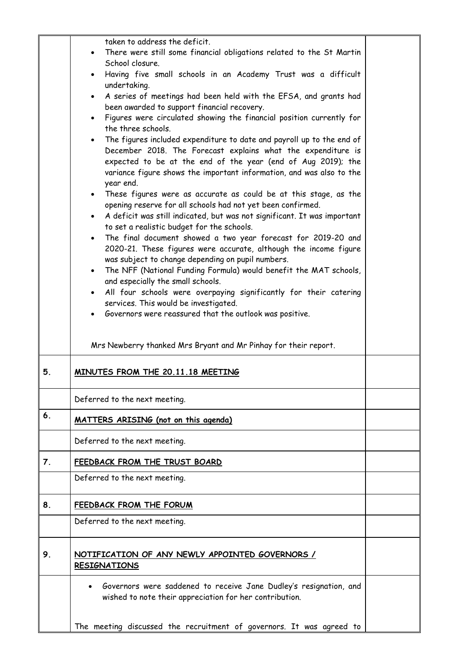|    | taken to address the deficit.                                                                                                |  |
|----|------------------------------------------------------------------------------------------------------------------------------|--|
|    | There were still some financial obligations related to the St Martin                                                         |  |
|    | School closure.                                                                                                              |  |
|    | Having five small schools in an Academy Trust was a difficult<br>$\bullet$                                                   |  |
|    | undertaking.                                                                                                                 |  |
|    | A series of meetings had been held with the EFSA, and grants had<br>$\bullet$                                                |  |
|    | been awarded to support financial recovery.                                                                                  |  |
|    | Figures were circulated showing the financial position currently for<br>$\bullet$                                            |  |
|    | the three schools.                                                                                                           |  |
|    | The figures included expenditure to date and payroll up to the end of<br>$\bullet$                                           |  |
|    | December 2018. The Forecast explains what the expenditure is<br>expected to be at the end of the year (end of Aug 2019); the |  |
|    | variance figure shows the important information, and was also to the                                                         |  |
|    | year end.                                                                                                                    |  |
|    | • These figures were as accurate as could be at this stage, as the                                                           |  |
|    | opening reserve for all schools had not yet been confirmed.                                                                  |  |
|    | A deficit was still indicated, but was not significant. It was important                                                     |  |
|    | to set a realistic budget for the schools.                                                                                   |  |
|    | The final document showed a two year forecast for 2019-20 and<br>$\bullet$                                                   |  |
|    | 2020-21. These figures were accurate, although the income figure                                                             |  |
|    | was subject to change depending on pupil numbers.                                                                            |  |
|    | The NFF (National Funding Formula) would benefit the MAT schools,<br>$\bullet$                                               |  |
|    | and especially the small schools.<br>All four schools were overpaying significantly for their catering<br>$\bullet$          |  |
|    | services. This would be investigated.                                                                                        |  |
|    | Governors were reassured that the outlook was positive.                                                                      |  |
|    |                                                                                                                              |  |
|    |                                                                                                                              |  |
|    | Mrs Newberry thanked Mrs Bryant and Mr Pinhay for their report.                                                              |  |
|    |                                                                                                                              |  |
| 5. | MINUTES FROM THE 20.11.18 MEETING                                                                                            |  |
|    |                                                                                                                              |  |
|    | Deferred to the next meeting.                                                                                                |  |
| 6. | MATTERS ARISING (not on this agenda)                                                                                         |  |
|    |                                                                                                                              |  |
|    | Deferred to the next meeting.                                                                                                |  |
|    |                                                                                                                              |  |
| 7. | FEEDBACK FROM THE TRUST BOARD                                                                                                |  |
|    | Deferred to the next meeting.                                                                                                |  |
|    |                                                                                                                              |  |
| 8. | <b>FEEDBACK FROM THE FORUM</b>                                                                                               |  |
|    | Deferred to the next meeting.                                                                                                |  |
|    |                                                                                                                              |  |
|    |                                                                                                                              |  |
| 9. | NOTIFICATION OF ANY NEWLY APPOINTED GOVERNORS /                                                                              |  |
|    | <b>RESIGNATIONS</b>                                                                                                          |  |
|    | Governors were saddened to receive Jane Dudley's resignation, and                                                            |  |
|    | wished to note their appreciation for her contribution.                                                                      |  |
|    |                                                                                                                              |  |
|    |                                                                                                                              |  |
|    | The meeting discussed the recruitment of governors. It was agreed to                                                         |  |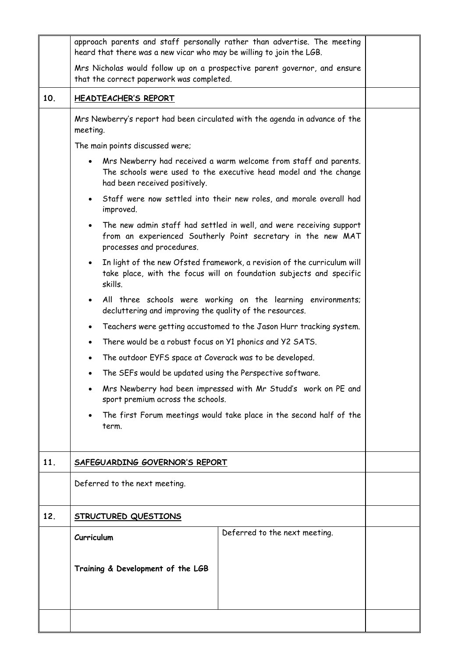|     | approach parents and staff personally rather than advertise. The meeting<br>heard that there was a new vicar who may be willing to join the LGB.                       |  |
|-----|------------------------------------------------------------------------------------------------------------------------------------------------------------------------|--|
|     | Mrs Nicholas would follow up on a prospective parent governor, and ensure<br>that the correct paperwork was completed.                                                 |  |
| 10. | <b>HEADTEACHER'S REPORT</b>                                                                                                                                            |  |
|     | Mrs Newberry's report had been circulated with the agenda in advance of the<br>meeting.                                                                                |  |
|     | The main points discussed were;                                                                                                                                        |  |
|     | Mrs Newberry had received a warm welcome from staff and parents.<br>The schools were used to the executive head model and the change<br>had been received positively.  |  |
|     | Staff were now settled into their new roles, and morale overall had<br>improved.                                                                                       |  |
|     | The new admin staff had settled in well, and were receiving support<br>from an experienced Southerly Point secretary in the new MAT<br>processes and procedures.       |  |
|     | In light of the new Ofsted framework, a revision of the curriculum will<br>$\bullet$<br>take place, with the focus will on foundation subjects and specific<br>skills. |  |
|     | All three schools were working on the learning environments;<br>$\bullet$<br>decluttering and improving the quality of the resources.                                  |  |
|     | Teachers were getting accustomed to the Jason Hurr tracking system.<br>$\bullet$                                                                                       |  |
|     | There would be a robust focus on Y1 phonics and Y2 SATS.<br>$\bullet$                                                                                                  |  |
|     | The outdoor EYFS space at Coverack was to be developed.<br>$\bullet$                                                                                                   |  |
|     | The SEFs would be updated using the Perspective software.<br>$\bullet$                                                                                                 |  |
|     | Mrs Newberry had been impressed with Mr Studd's work on PE and<br>sport premium across the schools.                                                                    |  |
|     | The first Forum meetings would take place in the second half of the<br>term.                                                                                           |  |
| 11. | SAFEGUARDING GOVERNOR'S REPORT                                                                                                                                         |  |
|     | Deferred to the next meeting.                                                                                                                                          |  |
| 12. | <b>STRUCTURED QUESTIONS</b>                                                                                                                                            |  |
|     | Deferred to the next meeting.<br>Curriculum                                                                                                                            |  |
|     | Training & Development of the LGB                                                                                                                                      |  |
|     |                                                                                                                                                                        |  |